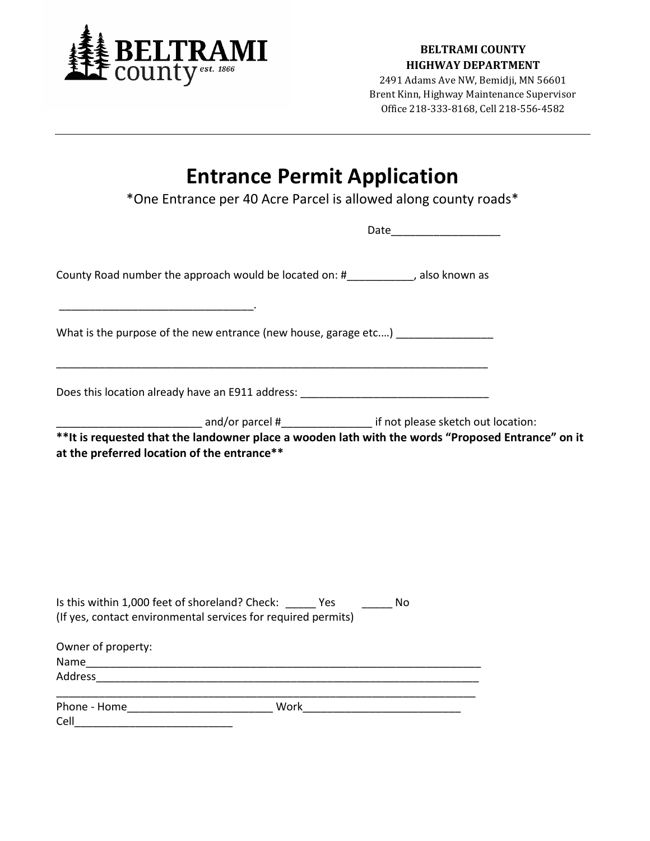

## **BELTRAMI COUNTY HIGHWAY DEPARTMENT**

2491 Adams Ave NW, Bemidji, MN 56601 Brent Kinn, Highway Maintenance Supervisor Office 218-333-8168, Cell 218-556-4582

## **Entrance Permit Application**

\*One Entrance per 40 Acre Parcel is allowed along county roads\*

| County Road number the approach would be located on: #___________, also known as                                                                |  |
|-------------------------------------------------------------------------------------------------------------------------------------------------|--|
| What is the purpose of the new entrance (new house, garage etc)                                                                                 |  |
| <u> 1989 - Johann Stoff, amerikansk politiker (d. 1989)</u><br>Does this location already have an E911 address: _______________________________ |  |
|                                                                                                                                                 |  |
|                                                                                                                                                 |  |
| Is this within 1,000 feet of shoreland? Check: ______ Yes ________ No<br>(If yes, contact environmental services for required permits)          |  |
| Owner of property:                                                                                                                              |  |
|                                                                                                                                                 |  |
|                                                                                                                                                 |  |
|                                                                                                                                                 |  |
| Cell                                                                                                                                            |  |